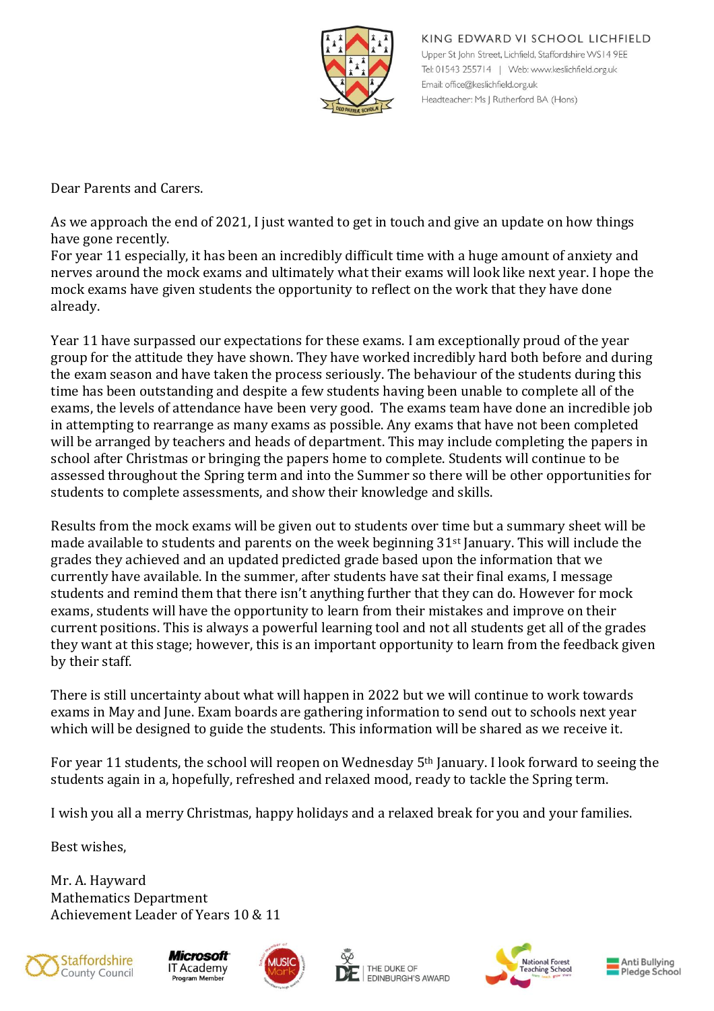

KING EDWARD VI SCHOOL LICHFIELD Upper St John Street, Lichfield, Staffordshire WS14 9EE Tel: 01543 255714 | Web: www.keslichfield.org.uk Email: office@keslichfield.org.uk Headteacher: Ms J Rutherford BA (Hons)

Dear Parents and Carers.

As we approach the end of 2021, I just wanted to get in touch and give an update on how things have gone recently.

For year 11 especially, it has been an incredibly difficult time with a huge amount of anxiety and nerves around the mock exams and ultimately what their exams will look like next year. I hope the mock exams have given students the opportunity to reflect on the work that they have done already.

Year 11 have surpassed our expectations for these exams. I am exceptionally proud of the year group for the attitude they have shown. They have worked incredibly hard both before and during the exam season and have taken the process seriously. The behaviour of the students during this time has been outstanding and despite a few students having been unable to complete all of the exams, the levels of attendance have been very good. The exams team have done an incredible job in attempting to rearrange as many exams as possible. Any exams that have not been completed will be arranged by teachers and heads of department. This may include completing the papers in school after Christmas or bringing the papers home to complete. Students will continue to be assessed throughout the Spring term and into the Summer so there will be other opportunities for students to complete assessments, and show their knowledge and skills.

Results from the mock exams will be given out to students over time but a summary sheet will be made available to students and parents on the week beginning  $31<sup>st</sup>$  January. This will include the grades they achieved and an updated predicted grade based upon the information that we currently have available. In the summer, after students have sat their final exams, I message students and remind them that there isn't anything further that they can do. However for mock exams, students will have the opportunity to learn from their mistakes and improve on their current positions. This is always a powerful learning tool and not all students get all of the grades they want at this stage; however, this is an important opportunity to learn from the feedback given by their staff.

There is still uncertainty about what will happen in 2022 but we will continue to work towards exams in May and June. Exam boards are gathering information to send out to schools next year which will be designed to guide the students. This information will be shared as we receive it.

For year 11 students, the school will reopen on Wednesday 5th January. I look forward to seeing the students again in a, hopefully, refreshed and relaxed mood, ready to tackle the Spring term.

I wish you all a merry Christmas, happy holidays and a relaxed break for you and your families.

Best wishes,

Mr. A. Hayward Mathematics Department Achievement Leader of Years 10 & 11